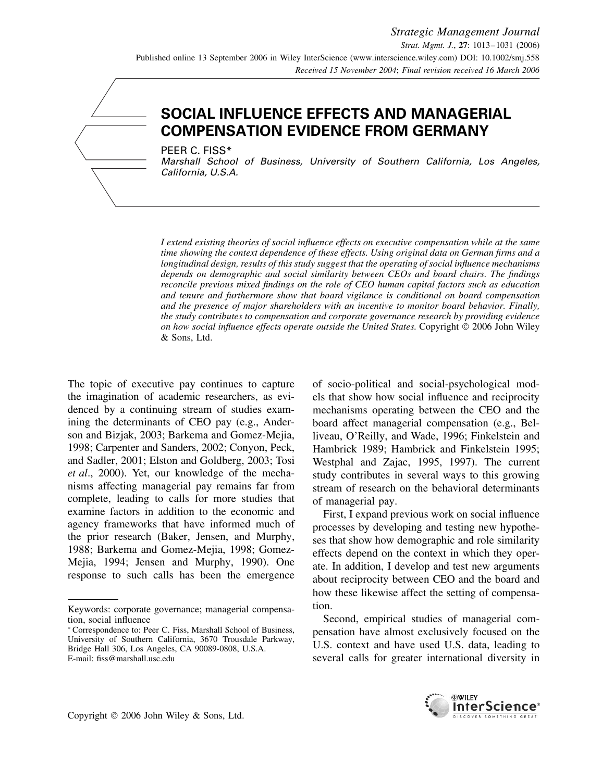# **SOCIAL INFLUENCE EFFECTS AND MANAGERIAL COMPENSATION EVIDENCE FROM GERMANY**

PEER C. FISS\*

Marshall School of Business, University of Southern California, Los Angeles, California, U.S.A.

*I extend existing theories of social influence effects on executive compensation while at the same time showing the context dependence of these effects. Using original data on German firms and a longitudinal design, results of this study suggest that the operating of social influence mechanisms depends on demographic and social similarity between CEOs and board chairs. The findings reconcile previous mixed findings on the role of CEO human capital factors such as education and tenure and furthermore show that board vigilance is conditional on board compensation and the presence of major shareholders with an incentive to monitor board behavior. Finally, the study contributes to compensation and corporate governance research by providing evidence on how social influence effects operate outside the United States.* Copyright  $\heartsuit$  2006 John Wiley & Sons, Ltd.

The topic of executive pay continues to capture the imagination of academic researchers, as evidenced by a continuing stream of studies examining the determinants of CEO pay (e.g., Anderson and Bizjak, 2003; Barkema and Gomez-Mejia, 1998; Carpenter and Sanders, 2002; Conyon, Peck, and Sadler, 2001; Elston and Goldberg, 2003; Tosi *et al*., 2000). Yet, our knowledge of the mechanisms affecting managerial pay remains far from complete, leading to calls for more studies that examine factors in addition to the economic and agency frameworks that have informed much of the prior research (Baker, Jensen, and Murphy, 1988; Barkema and Gomez-Mejia, 1998; Gomez-Mejia, 1994; Jensen and Murphy, 1990). One response to such calls has been the emergence of socio-political and social-psychological models that show how social influence and reciprocity mechanisms operating between the CEO and the board affect managerial compensation (e.g., Belliveau, O'Reilly, and Wade, 1996; Finkelstein and Hambrick 1989; Hambrick and Finkelstein 1995; Westphal and Zajac, 1995, 1997). The current study contributes in several ways to this growing stream of research on the behavioral determinants of managerial pay.

First, I expand previous work on social influence processes by developing and testing new hypotheses that show how demographic and role similarity effects depend on the context in which they operate. In addition, I develop and test new arguments about reciprocity between CEO and the board and how these likewise affect the setting of compensation.

Second, empirical studies of managerial compensation have almost exclusively focused on the U.S. context and have used U.S. data, leading to several calls for greater international diversity in



Keywords: corporate governance; managerial compensation, social influence

<sup>∗</sup> Correspondence to: Peer C. Fiss, Marshall School of Business, University of Southern California, 3670 Trousdale Parkway, Bridge Hall 306, Los Angeles, CA 90089-0808, U.S.A. E-mail: fiss@marshall.usc.edu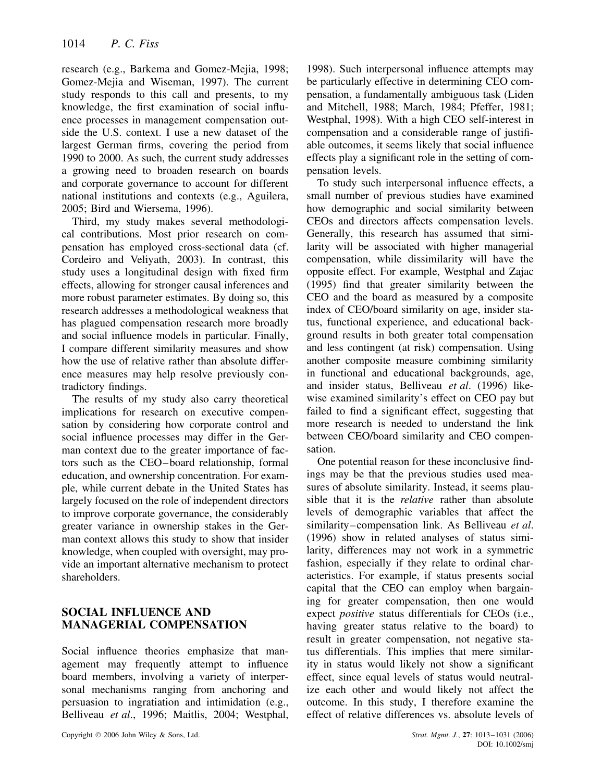research (e.g., Barkema and Gomez-Mejia, 1998; Gomez-Mejia and Wiseman, 1997). The current study responds to this call and presents, to my knowledge, the first examination of social influence processes in management compensation outside the U.S. context. I use a new dataset of the largest German firms, covering the period from 1990 to 2000. As such, the current study addresses a growing need to broaden research on boards and corporate governance to account for different national institutions and contexts (e.g., Aguilera, 2005; Bird and Wiersema, 1996).

Third, my study makes several methodological contributions. Most prior research on compensation has employed cross-sectional data (cf. Cordeiro and Veliyath, 2003). In contrast, this study uses a longitudinal design with fixed firm effects, allowing for stronger causal inferences and more robust parameter estimates. By doing so, this research addresses a methodological weakness that has plagued compensation research more broadly and social influence models in particular. Finally, I compare different similarity measures and show how the use of relative rather than absolute difference measures may help resolve previously contradictory findings.

The results of my study also carry theoretical implications for research on executive compensation by considering how corporate control and social influence processes may differ in the German context due to the greater importance of factors such as the CEO–board relationship, formal education, and ownership concentration. For example, while current debate in the United States has largely focused on the role of independent directors to improve corporate governance, the considerably greater variance in ownership stakes in the German context allows this study to show that insider knowledge, when coupled with oversight, may provide an important alternative mechanism to protect shareholders.

# **SOCIAL INFLUENCE AND MANAGERIAL COMPENSATION**

Social influence theories emphasize that management may frequently attempt to influence board members, involving a variety of interpersonal mechanisms ranging from anchoring and persuasion to ingratiation and intimidation (e.g., Belliveau *et al*., 1996; Maitlis, 2004; Westphal, 1998). Such interpersonal influence attempts may be particularly effective in determining CEO compensation, a fundamentally ambiguous task (Liden and Mitchell, 1988; March, 1984; Pfeffer, 1981; Westphal, 1998). With a high CEO self-interest in compensation and a considerable range of justifiable outcomes, it seems likely that social influence effects play a significant role in the setting of compensation levels.

To study such interpersonal influence effects, a small number of previous studies have examined how demographic and social similarity between CEOs and directors affects compensation levels. Generally, this research has assumed that similarity will be associated with higher managerial compensation, while dissimilarity will have the opposite effect. For example, Westphal and Zajac (1995) find that greater similarity between the CEO and the board as measured by a composite index of CEO/board similarity on age, insider status, functional experience, and educational background results in both greater total compensation and less contingent (at risk) compensation. Using another composite measure combining similarity in functional and educational backgrounds, age, and insider status, Belliveau *et al*. (1996) likewise examined similarity's effect on CEO pay but failed to find a significant effect, suggesting that more research is needed to understand the link between CEO/board similarity and CEO compensation.

One potential reason for these inconclusive findings may be that the previous studies used measures of absolute similarity. Instead, it seems plausible that it is the *relative* rather than absolute levels of demographic variables that affect the similarity–compensation link. As Belliveau *et al*. (1996) show in related analyses of status similarity, differences may not work in a symmetric fashion, especially if they relate to ordinal characteristics. For example, if status presents social capital that the CEO can employ when bargaining for greater compensation, then one would expect *positive* status differentials for CEOs (i.e., having greater status relative to the board) to result in greater compensation, not negative status differentials. This implies that mere similarity in status would likely not show a significant effect, since equal levels of status would neutralize each other and would likely not affect the outcome. In this study, I therefore examine the effect of relative differences vs. absolute levels of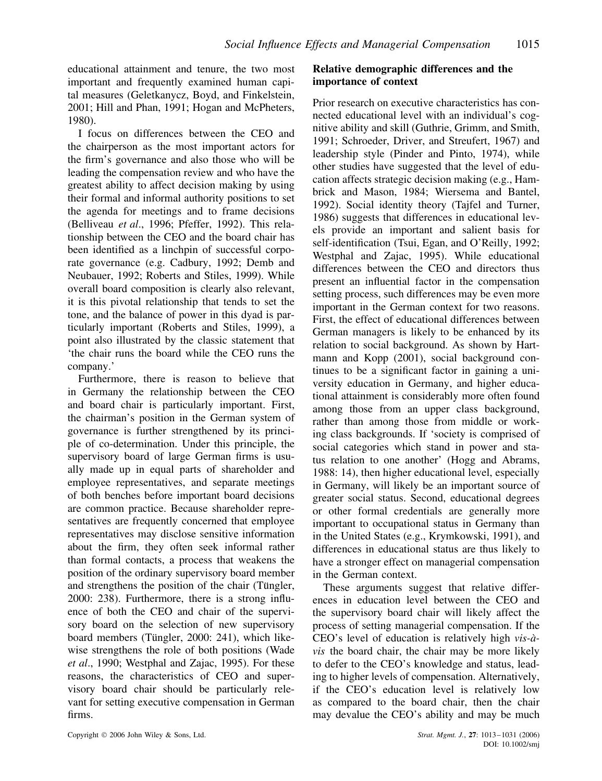educational attainment and tenure, the two most important and frequently examined human capital measures (Geletkanycz, Boyd, and Finkelstein, 2001; Hill and Phan, 1991; Hogan and McPheters, 1980).

I focus on differences between the CEO and the chairperson as the most important actors for the firm's governance and also those who will be leading the compensation review and who have the greatest ability to affect decision making by using their formal and informal authority positions to set the agenda for meetings and to frame decisions (Belliveau *et al*., 1996; Pfeffer, 1992). This relationship between the CEO and the board chair has been identified as a linchpin of successful corporate governance (e.g. Cadbury, 1992; Demb and Neubauer, 1992; Roberts and Stiles, 1999). While overall board composition is clearly also relevant, it is this pivotal relationship that tends to set the tone, and the balance of power in this dyad is particularly important (Roberts and Stiles, 1999), a point also illustrated by the classic statement that 'the chair runs the board while the CEO runs the company.'

Furthermore, there is reason to believe that in Germany the relationship between the CEO and board chair is particularly important. First, the chairman's position in the German system of governance is further strengthened by its principle of co-determination. Under this principle, the supervisory board of large German firms is usually made up in equal parts of shareholder and employee representatives, and separate meetings of both benches before important board decisions are common practice. Because shareholder representatives are frequently concerned that employee representatives may disclose sensitive information about the firm, they often seek informal rather than formal contacts, a process that weakens the position of the ordinary supervisory board member and strengthens the position of the chair (Tüngler, 2000: 238). Furthermore, there is a strong influence of both the CEO and chair of the supervisory board on the selection of new supervisory board members (Tüngler, 2000: 241), which likewise strengthens the role of both positions (Wade *et al*., 1990; Westphal and Zajac, 1995). For these reasons, the characteristics of CEO and supervisory board chair should be particularly relevant for setting executive compensation in German firms.

#### **Relative demographic differences and the importance of context**

Prior research on executive characteristics has connected educational level with an individual's cognitive ability and skill (Guthrie, Grimm, and Smith, 1991; Schroeder, Driver, and Streufert, 1967) and leadership style (Pinder and Pinto, 1974), while other studies have suggested that the level of education affects strategic decision making (e.g., Hambrick and Mason, 1984; Wiersema and Bantel, 1992). Social identity theory (Tajfel and Turner, 1986) suggests that differences in educational levels provide an important and salient basis for self-identification (Tsui, Egan, and O'Reilly, 1992; Westphal and Zajac, 1995). While educational differences between the CEO and directors thus present an influential factor in the compensation setting process, such differences may be even more important in the German context for two reasons. First, the effect of educational differences between German managers is likely to be enhanced by its relation to social background. As shown by Hartmann and Kopp (2001), social background continues to be a significant factor in gaining a university education in Germany, and higher educational attainment is considerably more often found among those from an upper class background, rather than among those from middle or working class backgrounds. If 'society is comprised of social categories which stand in power and status relation to one another' (Hogg and Abrams, 1988: 14), then higher educational level, especially in Germany, will likely be an important source of greater social status. Second, educational degrees or other formal credentials are generally more important to occupational status in Germany than in the United States (e.g., Krymkowski, 1991), and differences in educational status are thus likely to have a stronger effect on managerial compensation in the German context.

These arguments suggest that relative differences in education level between the CEO and the supervisory board chair will likely affect the process of setting managerial compensation. If the CEO's level of education is relatively high *vis-àvis* the board chair, the chair may be more likely to defer to the CEO's knowledge and status, leading to higher levels of compensation. Alternatively, if the CEO's education level is relatively low as compared to the board chair, then the chair may devalue the CEO's ability and may be much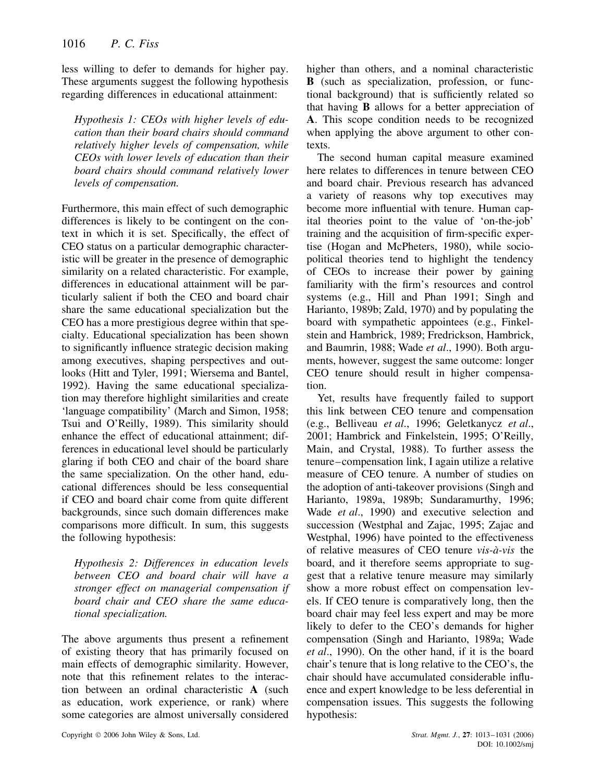less willing to defer to demands for higher pay. These arguments suggest the following hypothesis regarding differences in educational attainment:

*Hypothesis 1: CEOs with higher levels of education than their board chairs should command relatively higher levels of compensation, while CEOs with lower levels of education than their board chairs should command relatively lower levels of compensation.*

Furthermore, this main effect of such demographic differences is likely to be contingent on the context in which it is set. Specifically, the effect of CEO status on a particular demographic characteristic will be greater in the presence of demographic similarity on a related characteristic. For example, differences in educational attainment will be particularly salient if both the CEO and board chair share the same educational specialization but the CEO has a more prestigious degree within that specialty. Educational specialization has been shown to significantly influence strategic decision making among executives, shaping perspectives and outlooks (Hitt and Tyler, 1991; Wiersema and Bantel, 1992). Having the same educational specialization may therefore highlight similarities and create 'language compatibility' (March and Simon, 1958; Tsui and O'Reilly, 1989). This similarity should enhance the effect of educational attainment; differences in educational level should be particularly glaring if both CEO and chair of the board share the same specialization. On the other hand, educational differences should be less consequential if CEO and board chair come from quite different backgrounds, since such domain differences make comparisons more difficult. In sum, this suggests the following hypothesis:

*Hypothesis 2: Differences in education levels between CEO and board chair will have a stronger effect on managerial compensation if board chair and CEO share the same educational specialization.*

The above arguments thus present a refinement of existing theory that has primarily focused on main effects of demographic similarity. However, note that this refinement relates to the interaction between an ordinal characteristic **A** (such as education, work experience, or rank) where some categories are almost universally considered higher than others, and a nominal characteristic **B** (such as specialization, profession, or functional background) that is sufficiently related so that having **B** allows for a better appreciation of **A**. This scope condition needs to be recognized when applying the above argument to other contexts.

The second human capital measure examined here relates to differences in tenure between CEO and board chair. Previous research has advanced a variety of reasons why top executives may become more influential with tenure. Human capital theories point to the value of 'on-the-job' training and the acquisition of firm-specific expertise (Hogan and McPheters, 1980), while sociopolitical theories tend to highlight the tendency of CEOs to increase their power by gaining familiarity with the firm's resources and control systems (e.g., Hill and Phan 1991; Singh and Harianto, 1989b; Zald, 1970) and by populating the board with sympathetic appointees (e.g., Finkelstein and Hambrick, 1989; Fredrickson, Hambrick, and Baumrin, 1988; Wade *et al*., 1990). Both arguments, however, suggest the same outcome: longer CEO tenure should result in higher compensation.

Yet, results have frequently failed to support this link between CEO tenure and compensation (e.g., Belliveau *et al*., 1996; Geletkanycz *et al*., 2001; Hambrick and Finkelstein, 1995; O'Reilly, Main, and Crystal, 1988). To further assess the tenure–compensation link, I again utilize a relative measure of CEO tenure. A number of studies on the adoption of anti-takeover provisions (Singh and Harianto, 1989a, 1989b; Sundaramurthy, 1996; Wade *et al*., 1990) and executive selection and succession (Westphal and Zajac, 1995; Zajac and Westphal, 1996) have pointed to the effectiveness of relative measures of CEO tenure *vis-à-vis* the board, and it therefore seems appropriate to suggest that a relative tenure measure may similarly show a more robust effect on compensation levels. If CEO tenure is comparatively long, then the board chair may feel less expert and may be more likely to defer to the CEO's demands for higher compensation (Singh and Harianto, 1989a; Wade *et al*., 1990). On the other hand, if it is the board chair's tenure that is long relative to the CEO's, the chair should have accumulated considerable influence and expert knowledge to be less deferential in compensation issues. This suggests the following hypothesis: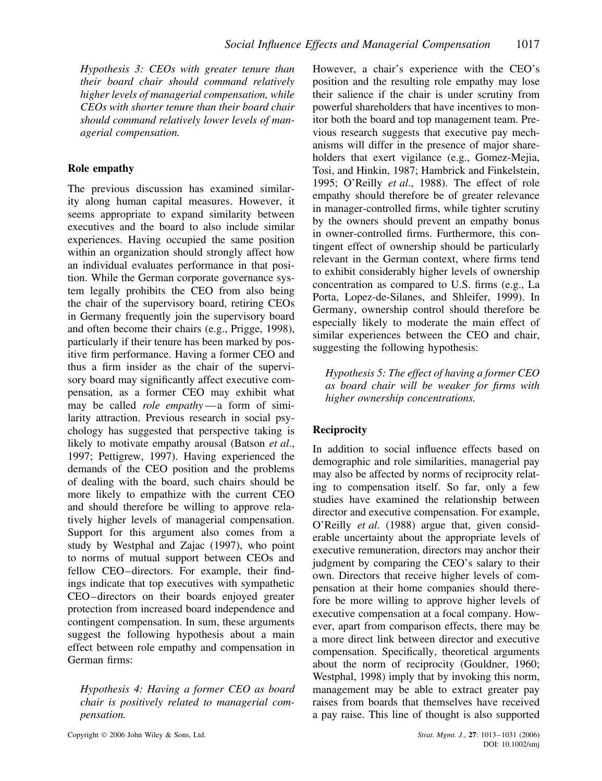*Hypothesis 3: CEOs with greater tenure than their board chair should command relatively higher levels of managerial compensation, while CEOs with shorter tenure than their board chair should command relatively lower levels of managerial compensation.*

## **Role empathy**

The previous discussion has examined similarity along human capital measures. However, it seems appropriate to expand similarity between executives and the board to also include similar experiences. Having occupied the same position within an organization should strongly affect how an individual evaluates performance in that position. While the German corporate governance system legally prohibits the CEO from also being the chair of the supervisory board, retiring CEOs in Germany frequently join the supervisory board and often become their chairs (e.g., Prigge, 1998), particularly if their tenure has been marked by positive firm performance. Having a former CEO and thus a firm insider as the chair of the supervisory board may significantly affect executive compensation, as a former CEO may exhibit what may be called *role empathy* —a form of similarity attraction. Previous research in social psychology has suggested that perspective taking is likely to motivate empathy arousal (Batson *et al*., 1997; Pettigrew, 1997). Having experienced the demands of the CEO position and the problems of dealing with the board, such chairs should be more likely to empathize with the current CEO and should therefore be willing to approve relatively higher levels of managerial compensation. Support for this argument also comes from a study by Westphal and Zajac (1997), who point to norms of mutual support between CEOs and fellow CEO–directors. For example, their findings indicate that top executives with sympathetic CEO–directors on their boards enjoyed greater protection from increased board independence and contingent compensation. In sum, these arguments suggest the following hypothesis about a main effect between role empathy and compensation in German firms:

*Hypothesis 4: Having a former CEO as board chair is positively related to managerial compensation.*

However, a chair's experience with the CEO's position and the resulting role empathy may lose their salience if the chair is under scrutiny from powerful shareholders that have incentives to monitor both the board and top management team. Previous research suggests that executive pay mechanisms will differ in the presence of major shareholders that exert vigilance (e.g., Gomez-Mejia, Tosi, and Hinkin, 1987; Hambrick and Finkelstein, 1995; O'Reilly *et al*., 1988). The effect of role empathy should therefore be of greater relevance in manager-controlled firms, while tighter scrutiny by the owners should prevent an empathy bonus in owner-controlled firms. Furthermore, this contingent effect of ownership should be particularly relevant in the German context, where firms tend to exhibit considerably higher levels of ownership concentration as compared to U.S. firms (e.g., La Porta, Lopez-de-Silanes, and Shleifer, 1999). In Germany, ownership control should therefore be especially likely to moderate the main effect of similar experiences between the CEO and chair, suggesting the following hypothesis:

*Hypothesis 5: The effect of having a former CEO as board chair will be weaker for firms with higher ownership concentrations.*

# **Reciprocity**

In addition to social influence effects based on demographic and role similarities, managerial pay may also be affected by norms of reciprocity relating to compensation itself. So far, only a few studies have examined the relationship between director and executive compensation. For example, O'Reilly *et al*. (1988) argue that, given considerable uncertainty about the appropriate levels of executive remuneration, directors may anchor their judgment by comparing the CEO's salary to their own. Directors that receive higher levels of compensation at their home companies should therefore be more willing to approve higher levels of executive compensation at a focal company. However, apart from comparison effects, there may be a more direct link between director and executive compensation. Specifically, theoretical arguments about the norm of reciprocity (Gouldner, 1960; Westphal, 1998) imply that by invoking this norm, management may be able to extract greater pay raises from boards that themselves have received a pay raise. This line of thought is also supported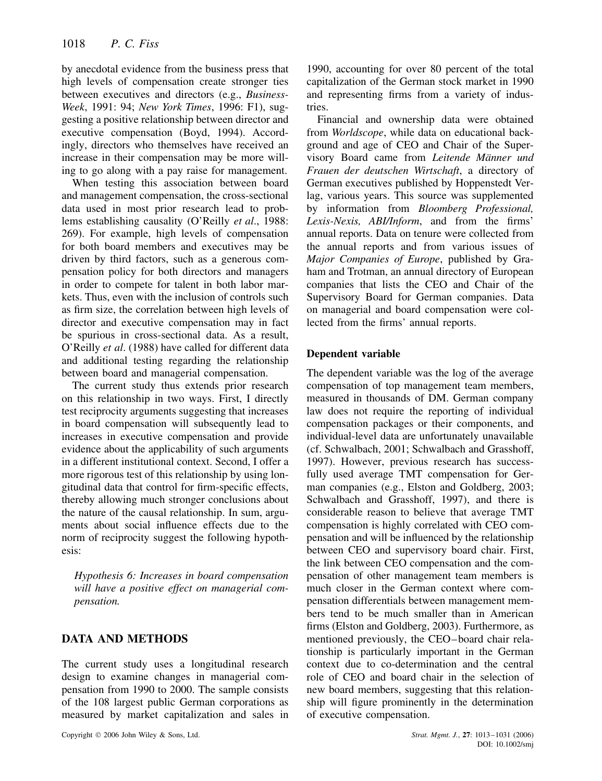by anecdotal evidence from the business press that high levels of compensation create stronger ties between executives and directors (e.g., *Business-Week*, 1991: 94; *New York Times*, 1996: F1), suggesting a positive relationship between director and executive compensation (Boyd, 1994). Accordingly, directors who themselves have received an increase in their compensation may be more willing to go along with a pay raise for management.

When testing this association between board and management compensation, the cross-sectional data used in most prior research lead to problems establishing causality (O'Reilly *et al*., 1988: 269). For example, high levels of compensation for both board members and executives may be driven by third factors, such as a generous compensation policy for both directors and managers in order to compete for talent in both labor markets. Thus, even with the inclusion of controls such as firm size, the correlation between high levels of director and executive compensation may in fact be spurious in cross-sectional data. As a result, O'Reilly *et al*. (1988) have called for different data and additional testing regarding the relationship between board and managerial compensation.

The current study thus extends prior research on this relationship in two ways. First, I directly test reciprocity arguments suggesting that increases in board compensation will subsequently lead to increases in executive compensation and provide evidence about the applicability of such arguments in a different institutional context. Second, I offer a more rigorous test of this relationship by using longitudinal data that control for firm-specific effects, thereby allowing much stronger conclusions about the nature of the causal relationship. In sum, arguments about social influence effects due to the norm of reciprocity suggest the following hypothesis:

*Hypothesis 6: Increases in board compensation will have a positive effect on managerial compensation.*

# **DATA AND METHODS**

The current study uses a longitudinal research design to examine changes in managerial compensation from 1990 to 2000. The sample consists of the 108 largest public German corporations as measured by market capitalization and sales in 1990, accounting for over 80 percent of the total capitalization of the German stock market in 1990 and representing firms from a variety of industries.

Financial and ownership data were obtained from *Worldscope*, while data on educational background and age of CEO and Chair of the Supervisory Board came from *Leitende Männer und Frauen der deutschen Wirtschaft*, a directory of German executives published by Hoppenstedt Verlag, various years. This source was supplemented by information from *Bloomberg Professional, Lexis-Nexis, ABI/Inform*, and from the firms' annual reports. Data on tenure were collected from the annual reports and from various issues of *Major Companies of Europe*, published by Graham and Trotman, an annual directory of European companies that lists the CEO and Chair of the Supervisory Board for German companies. Data on managerial and board compensation were collected from the firms' annual reports.

## **Dependent variable**

The dependent variable was the log of the average compensation of top management team members, measured in thousands of DM. German company law does not require the reporting of individual compensation packages or their components, and individual-level data are unfortunately unavailable (cf. Schwalbach, 2001; Schwalbach and Grasshoff, 1997). However, previous research has successfully used average TMT compensation for German companies (e.g., Elston and Goldberg, 2003; Schwalbach and Grasshoff, 1997), and there is considerable reason to believe that average TMT compensation is highly correlated with CEO compensation and will be influenced by the relationship between CEO and supervisory board chair. First, the link between CEO compensation and the compensation of other management team members is much closer in the German context where compensation differentials between management members tend to be much smaller than in American firms (Elston and Goldberg, 2003). Furthermore, as mentioned previously, the CEO–board chair relationship is particularly important in the German context due to co-determination and the central role of CEO and board chair in the selection of new board members, suggesting that this relationship will figure prominently in the determination of executive compensation.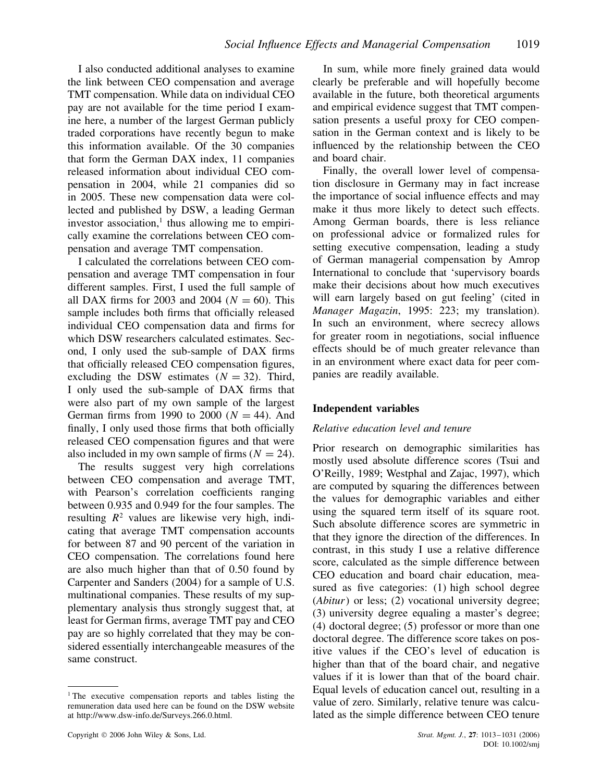I also conducted additional analyses to examine the link between CEO compensation and average TMT compensation. While data on individual CEO pay are not available for the time period I examine here, a number of the largest German publicly traded corporations have recently begun to make this information available. Of the 30 companies that form the German DAX index, 11 companies released information about individual CEO compensation in 2004, while 21 companies did so in 2005. These new compensation data were collected and published by DSW, a leading German investor association, $\frac{1}{1}$  thus allowing me to empirically examine the correlations between CEO compensation and average TMT compensation.

I calculated the correlations between CEO compensation and average TMT compensation in four different samples. First, I used the full sample of all DAX firms for 2003 and 2004 ( $N = 60$ ). This sample includes both firms that officially released individual CEO compensation data and firms for which DSW researchers calculated estimates. Second, I only used the sub-sample of DAX firms that officially released CEO compensation figures, excluding the DSW estimates  $(N = 32)$ . Third, I only used the sub-sample of DAX firms that were also part of my own sample of the largest German firms from 1990 to 2000  $(N = 44)$ . And finally, I only used those firms that both officially released CEO compensation figures and that were also included in my own sample of firms  $(N = 24)$ .

The results suggest very high correlations between CEO compensation and average TMT, with Pearson's correlation coefficients ranging between 0.935 and 0.949 for the four samples. The resulting  $R^2$  values are likewise very high, indicating that average TMT compensation accounts for between 87 and 90 percent of the variation in CEO compensation. The correlations found here are also much higher than that of 0.50 found by Carpenter and Sanders (2004) for a sample of U.S. multinational companies. These results of my supplementary analysis thus strongly suggest that, at least for German firms, average TMT pay and CEO pay are so highly correlated that they may be considered essentially interchangeable measures of the same construct.

Copyright 2006 John Wiley & Sons, Ltd. *Strat. Mgmt. J.*, **27**: 1013–1031 (2006)

In sum, while more finely grained data would clearly be preferable and will hopefully become available in the future, both theoretical arguments and empirical evidence suggest that TMT compensation presents a useful proxy for CEO compensation in the German context and is likely to be influenced by the relationship between the CEO and board chair.

Finally, the overall lower level of compensation disclosure in Germany may in fact increase the importance of social influence effects and may make it thus more likely to detect such effects. Among German boards, there is less reliance on professional advice or formalized rules for setting executive compensation, leading a study of German managerial compensation by Amrop International to conclude that 'supervisory boards make their decisions about how much executives will earn largely based on gut feeling' (cited in *Manager Magazin*, 1995: 223; my translation). In such an environment, where secrecy allows for greater room in negotiations, social influence effects should be of much greater relevance than in an environment where exact data for peer companies are readily available.

#### **Independent variables**

#### *Relative education level and tenure*

Prior research on demographic similarities has mostly used absolute difference scores (Tsui and O'Reilly, 1989; Westphal and Zajac, 1997), which are computed by squaring the differences between the values for demographic variables and either using the squared term itself of its square root. Such absolute difference scores are symmetric in that they ignore the direction of the differences. In contrast, in this study I use a relative difference score, calculated as the simple difference between CEO education and board chair education, measured as five categories: (1) high school degree (*Abitur*) or less; (2) vocational university degree; (3) university degree equaling a master's degree; (4) doctoral degree; (5) professor or more than one doctoral degree. The difference score takes on positive values if the CEO's level of education is higher than that of the board chair, and negative values if it is lower than that of the board chair. Equal levels of education cancel out, resulting in a value of zero. Similarly, relative tenure was calculated as the simple difference between CEO tenure

<sup>&</sup>lt;sup>1</sup> The executive compensation reports and tables listing the remuneration data used here can be found on the DSW website at http://www.dsw-info.de/Surveys.266.0.html.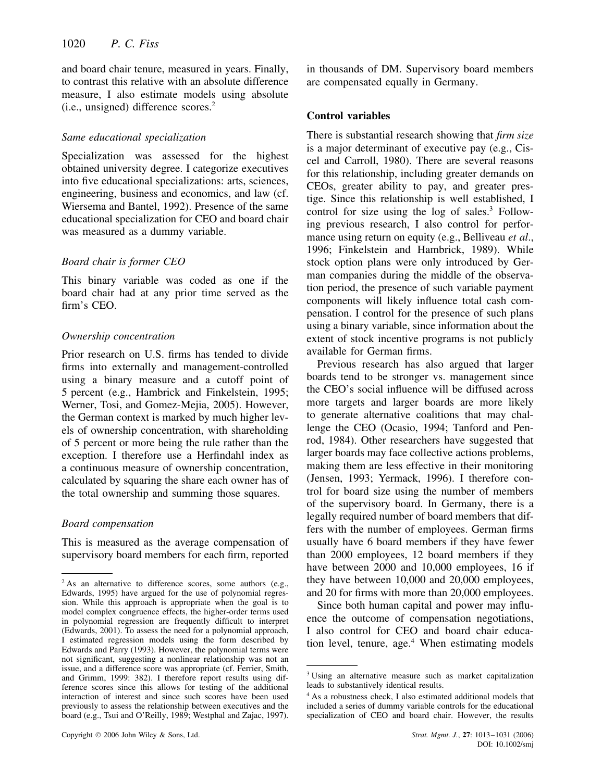and board chair tenure, measured in years. Finally, to contrast this relative with an absolute difference measure, I also estimate models using absolute (i.e., unsigned) difference scores.2

#### *Same educational specialization*

Specialization was assessed for the highest obtained university degree. I categorize executives into five educational specializations: arts, sciences, engineering, business and economics, and law (cf. Wiersema and Bantel, 1992). Presence of the same educational specialization for CEO and board chair was measured as a dummy variable.

## *Board chair is former CEO*

This binary variable was coded as one if the board chair had at any prior time served as the firm's CEO.

## *Ownership concentration*

Prior research on U.S. firms has tended to divide firms into externally and management-controlled using a binary measure and a cutoff point of 5 percent (e.g., Hambrick and Finkelstein, 1995; Werner, Tosi, and Gomez-Mejia, 2005). However, the German context is marked by much higher levels of ownership concentration, with shareholding of 5 percent or more being the rule rather than the exception. I therefore use a Herfindahl index as a continuous measure of ownership concentration, calculated by squaring the share each owner has of the total ownership and summing those squares.

#### *Board compensation*

This is measured as the average compensation of supervisory board members for each firm, reported in thousands of DM. Supervisory board members are compensated equally in Germany.

# **Control variables**

There is substantial research showing that *firm size* is a major determinant of executive pay (e.g., Ciscel and Carroll, 1980). There are several reasons for this relationship, including greater demands on CEOs, greater ability to pay, and greater prestige. Since this relationship is well established, I control for size using the  $log$  of sales.<sup>3</sup> Following previous research, I also control for performance using return on equity (e.g., Belliveau *et al*., 1996; Finkelstein and Hambrick, 1989). While stock option plans were only introduced by German companies during the middle of the observation period, the presence of such variable payment components will likely influence total cash compensation. I control for the presence of such plans using a binary variable, since information about the extent of stock incentive programs is not publicly available for German firms.

Previous research has also argued that larger boards tend to be stronger vs. management since the CEO's social influence will be diffused across more targets and larger boards are more likely to generate alternative coalitions that may challenge the CEO (Ocasio, 1994; Tanford and Penrod, 1984). Other researchers have suggested that larger boards may face collective actions problems, making them are less effective in their monitoring (Jensen, 1993; Yermack, 1996). I therefore control for board size using the number of members of the supervisory board. In Germany, there is a legally required number of board members that differs with the number of employees. German firms usually have 6 board members if they have fewer than 2000 employees, 12 board members if they have between 2000 and 10,000 employees, 16 if they have between 10,000 and 20,000 employees, and 20 for firms with more than 20,000 employees.

Since both human capital and power may influence the outcome of compensation negotiations, I also control for CEO and board chair education level, tenure, age. $4$  When estimating models

 $2$ As an alternative to difference scores, some authors (e.g., Edwards, 1995) have argued for the use of polynomial regression. While this approach is appropriate when the goal is to model complex congruence effects, the higher-order terms used in polynomial regression are frequently difficult to interpret (Edwards, 2001). To assess the need for a polynomial approach, I estimated regression models using the form described by Edwards and Parry (1993). However, the polynomial terms were not significant, suggesting a nonlinear relationship was not an issue, and a difference score was appropriate (cf. Ferrier, Smith, and Grimm, 1999: 382). I therefore report results using difference scores since this allows for testing of the additional interaction of interest and since such scores have been used previously to assess the relationship between executives and the board (e.g., Tsui and O'Reilly, 1989; Westphal and Zajac, 1997).

<sup>&</sup>lt;sup>3</sup> Using an alternative measure such as market capitalization leads to substantively identical results.

<sup>4</sup> As a robustness check, I also estimated additional models that included a series of dummy variable controls for the educational specialization of CEO and board chair. However, the results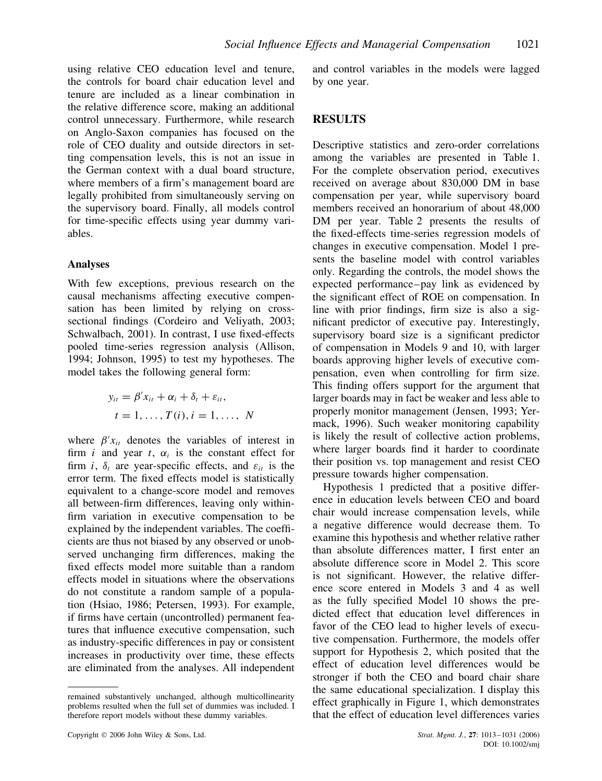using relative CEO education level and tenure, the controls for board chair education level and tenure are included as a linear combination in the relative difference score, making an additional control unnecessary. Furthermore, while research on Anglo-Saxon companies has focused on the role of CEO duality and outside directors in setting compensation levels, this is not an issue in the German context with a dual board structure, where members of a firm's management board are legally prohibited from simultaneously serving on the supervisory board. Finally, all models control for time-specific effects using year dummy variables.

#### **Analyses**

With few exceptions, previous research on the causal mechanisms affecting executive compensation has been limited by relying on crosssectional findings (Cordeiro and Veliyath, 2003; Schwalbach, 2001). In contrast, I use fixed-effects pooled time-series regression analysis (Allison, 1994; Johnson, 1995) to test my hypotheses. The model takes the following general form:

$$
y_{it} = \beta' x_{it} + \alpha_i + \delta_t + \varepsilon_{it},
$$
  

$$
t = 1, \dots, T(i), i = 1, \dots, N
$$

where  $\beta' x_{it}$  denotes the variables of interest in firm *i* and year *t*,  $\alpha_i$  is the constant effect for firm *i*,  $\delta_t$  are year-specific effects, and  $\varepsilon_{it}$  is the error term. The fixed effects model is statistically equivalent to a change-score model and removes all between-firm differences, leaving only withinfirm variation in executive compensation to be explained by the independent variables. The coefficients are thus not biased by any observed or unobserved unchanging firm differences, making the fixed effects model more suitable than a random effects model in situations where the observations do not constitute a random sample of a population (Hsiao, 1986; Petersen, 1993). For example, if firms have certain (uncontrolled) permanent features that influence executive compensation, such as industry-specific differences in pay or consistent increases in productivity over time, these effects are eliminated from the analyses. All independent

Copyright 2006 John Wiley & Sons, Ltd. *Strat. Mgmt. J.*, **27**: 1013–1031 (2006)

and control variables in the models were lagged by one year.

# **RESULTS**

Descriptive statistics and zero-order correlations among the variables are presented in Table 1. For the complete observation period, executives received on average about 830,000 DM in base compensation per year, while supervisory board members received an honorarium of about 48,000 DM per year. Table 2 presents the results of the fixed-effects time-series regression models of changes in executive compensation. Model 1 presents the baseline model with control variables only. Regarding the controls, the model shows the expected performance–pay link as evidenced by the significant effect of ROE on compensation. In line with prior findings, firm size is also a significant predictor of executive pay. Interestingly, supervisory board size is a significant predictor of compensation in Models 9 and 10, with larger boards approving higher levels of executive compensation, even when controlling for firm size. This finding offers support for the argument that larger boards may in fact be weaker and less able to properly monitor management (Jensen, 1993; Yermack, 1996). Such weaker monitoring capability is likely the result of collective action problems, where larger boards find it harder to coordinate their position vs. top management and resist CEO pressure towards higher compensation.

Hypothesis 1 predicted that a positive difference in education levels between CEO and board chair would increase compensation levels, while a negative difference would decrease them. To examine this hypothesis and whether relative rather than absolute differences matter, I first enter an absolute difference score in Model 2. This score is not significant. However, the relative difference score entered in Models 3 and 4 as well as the fully specified Model 10 shows the predicted effect that education level differences in favor of the CEO lead to higher levels of executive compensation. Furthermore, the models offer support for Hypothesis 2, which posited that the effect of education level differences would be stronger if both the CEO and board chair share the same educational specialization. I display this effect graphically in Figure 1, which demonstrates that the effect of education level differences varies

remained substantively unchanged, although multicollinearity problems resulted when the full set of dummies was included. I therefore report models without these dummy variables.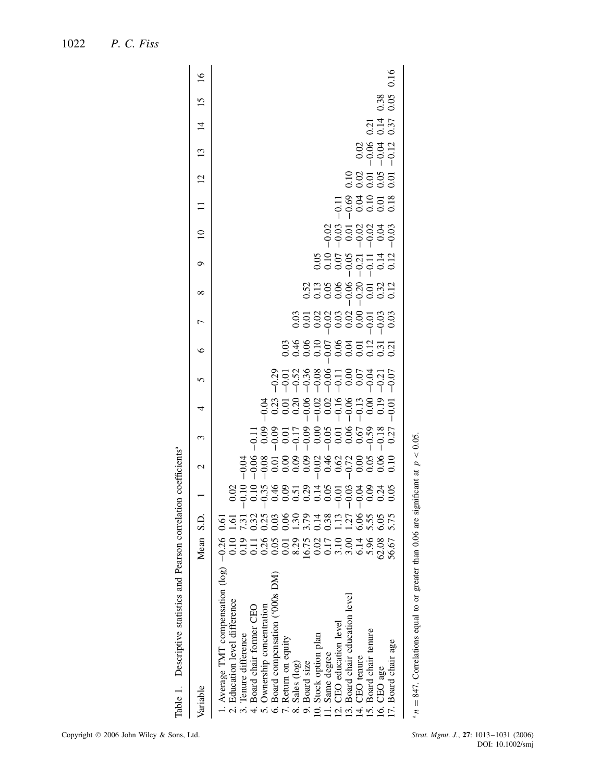| 5.96<br>62.08<br>15. Board chair tenure<br>16. CEO age | 13. Board chair education level<br>14. CEO tenure<br>10. Stock option plan<br>11. Same degree<br>12. CEO education level<br>9. Board size | 8.29<br>0.17<br>0.10<br>0.10<br>0.14 |  |  | \$\$\$\$\$\$\$\$\$\$\$\$<br>\$\$\$\$\$\$\$\$\$\$\$ | 8358888786378<br>836888786878 | 838896888888<br>83889688888 | 8588885588<br>666666666 | 83388823333<br>8388823333<br>83990000 | 8858838<br>0000000<br>$\overline{10}$ | $-0.68$<br>$-0.63$<br>$-0.00$<br>$-0.00$<br>$-0.00$<br>$\Box$ | 28385<br>28585<br>12 | 0.88312<br>$\mathbf{13}$ | 214<br>214<br>227<br>$\overline{4}$ | 0.38<br>15 | $\overline{16}$ |
|--------------------------------------------------------|-------------------------------------------------------------------------------------------------------------------------------------------|--------------------------------------|--|--|----------------------------------------------------|-------------------------------|-----------------------------|-------------------------|---------------------------------------|---------------------------------------|---------------------------------------------------------------|----------------------|--------------------------|-------------------------------------|------------|-----------------|
| 56.67<br>7. Board chair age                            |                                                                                                                                           |                                      |  |  |                                                    |                               |                             |                         |                                       |                                       |                                                               |                      |                          |                                     |            | 0.16            |
|                                                        |                                                                                                                                           |                                      |  |  |                                                    |                               |                             |                         |                                       |                                       |                                                               |                      |                          |                                     |            |                 |

<sup>a</sup> $n = 847$ . Correlations equal to or greater than 0.06 are significant at  $p < 0.05$ .  $n = 847$ . Correlations equal to or greater than 0.06 are significant at  $p < 0.05$ .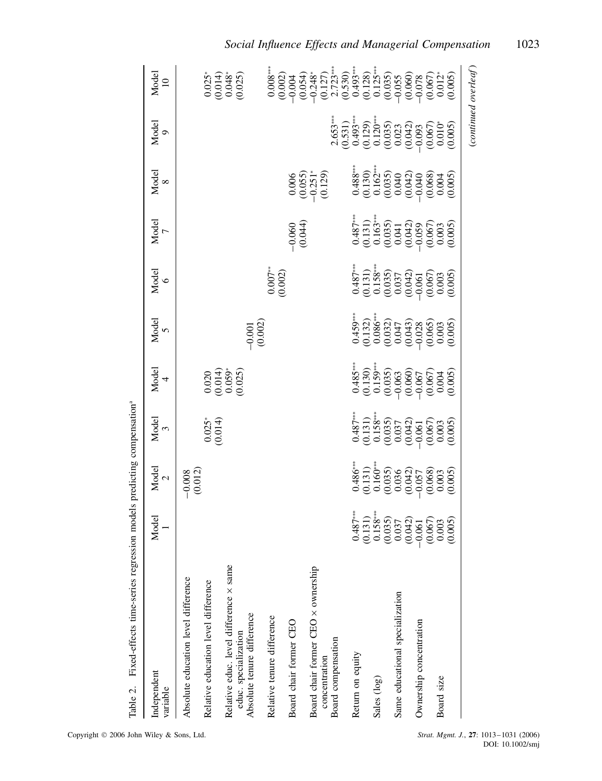| Independent<br>variable                                                                      | Model<br>1                                                                                                                                                        | Model<br>2                                                                                                                                              | Model<br>3                                                                                                                                     | Model<br>4                                                                                                                                      | Model<br>5                                                                                                                                   | Model $6$                                                                                                                                         | Model $\frac{7}{7}$                                                                                                                                                                                                                                                                             | Model $_{\rm 8}$                                                         | Model<br>9                                                                                                                                                                      | Model<br>$10$                                       |
|----------------------------------------------------------------------------------------------|-------------------------------------------------------------------------------------------------------------------------------------------------------------------|---------------------------------------------------------------------------------------------------------------------------------------------------------|------------------------------------------------------------------------------------------------------------------------------------------------|-------------------------------------------------------------------------------------------------------------------------------------------------|----------------------------------------------------------------------------------------------------------------------------------------------|---------------------------------------------------------------------------------------------------------------------------------------------------|-------------------------------------------------------------------------------------------------------------------------------------------------------------------------------------------------------------------------------------------------------------------------------------------------|--------------------------------------------------------------------------|---------------------------------------------------------------------------------------------------------------------------------------------------------------------------------|-----------------------------------------------------|
| Absolute education level difference<br>Relative education level difference                   |                                                                                                                                                                   | $-0.008$<br>(0.012)                                                                                                                                     | $0.025$ <sup>*</sup>                                                                                                                           |                                                                                                                                                 |                                                                                                                                              |                                                                                                                                                   |                                                                                                                                                                                                                                                                                                 |                                                                          |                                                                                                                                                                                 |                                                     |
| Relative educ. level difference x same<br>Absolute tenure difference<br>educ. specialization |                                                                                                                                                                   |                                                                                                                                                         |                                                                                                                                                | $\begin{array}{c} 0.020 \\ (0.014) \\ 0.059^* \\ 0.059^* \end{array}$                                                                           | $-0.001$<br>(0.002)                                                                                                                          |                                                                                                                                                   |                                                                                                                                                                                                                                                                                                 |                                                                          |                                                                                                                                                                                 | $0.025$<br>$0.014$<br>$0.048$<br>$0.025$<br>$0.025$ |
| Relative tenure difference                                                                   |                                                                                                                                                                   |                                                                                                                                                         |                                                                                                                                                |                                                                                                                                                 |                                                                                                                                              | $0.007**$<br>(0.002)                                                                                                                              |                                                                                                                                                                                                                                                                                                 |                                                                          |                                                                                                                                                                                 |                                                     |
| Board chair former CEO                                                                       |                                                                                                                                                                   |                                                                                                                                                         |                                                                                                                                                |                                                                                                                                                 |                                                                                                                                              |                                                                                                                                                   | $-0.060$<br>$(0.044)$                                                                                                                                                                                                                                                                           |                                                                          |                                                                                                                                                                                 |                                                     |
| Board chair former CEO x ownership<br>Board compensation<br>concentration                    |                                                                                                                                                                   |                                                                                                                                                         |                                                                                                                                                |                                                                                                                                                 |                                                                                                                                              |                                                                                                                                                   |                                                                                                                                                                                                                                                                                                 | $\begin{array}{c} 0.006 \\ (0.055) \\ -0.251^{*} \\ (0.129) \end{array}$ |                                                                                                                                                                                 |                                                     |
| Return on equity                                                                             |                                                                                                                                                                   |                                                                                                                                                         |                                                                                                                                                |                                                                                                                                                 |                                                                                                                                              |                                                                                                                                                   |                                                                                                                                                                                                                                                                                                 |                                                                          |                                                                                                                                                                                 |                                                     |
| Sales (log)                                                                                  |                                                                                                                                                                   |                                                                                                                                                         |                                                                                                                                                |                                                                                                                                                 |                                                                                                                                              |                                                                                                                                                   |                                                                                                                                                                                                                                                                                                 |                                                                          |                                                                                                                                                                                 |                                                     |
| Same educational specialization                                                              |                                                                                                                                                                   |                                                                                                                                                         |                                                                                                                                                |                                                                                                                                                 |                                                                                                                                              |                                                                                                                                                   |                                                                                                                                                                                                                                                                                                 |                                                                          |                                                                                                                                                                                 |                                                     |
| Ownership concentration                                                                      |                                                                                                                                                                   |                                                                                                                                                         |                                                                                                                                                |                                                                                                                                                 |                                                                                                                                              |                                                                                                                                                   |                                                                                                                                                                                                                                                                                                 |                                                                          |                                                                                                                                                                                 |                                                     |
| Board size                                                                                   | $\begin{array}{c} 0.487^{**} \\ 0.131) \\ 0.158^{**} \\ 0.035) \\ 0.035) \\ 0.037 \\ 0.042) \\ 0.067 \\ 0.033 \\ 0.033 \\ 0.003 \\ 0.003 \\ 0.003 \\ \end{array}$ | $\begin{array}{l} 0.486^{**} \\ 0.131) \\ 0.160^{**} \\ 0.035 \\ 0.0335 \\ 0.042) \\ 0.068 \\ 0.003 \\ 0.003 \\ 0.003 \\ 0.003 \\ 0.003 \\ \end{array}$ | $\begin{array}{l} 0.487^{**} \\ 0.131) \\ 0.158^{**} \\ 0.035) \\ 0.035 \\ 0.037 \\ 0.042) \\ 0.067 \\ 0.033 \\ 0.003 \\ 0.003 \\ \end{array}$ | $\begin{array}{c} 0.485^{**} \\ 0.130) \\ 0.159^{**} \\ 0.035) \\ 0.0035 \\ 0.0060 \\ 0.067 \\ 0.004 \\ 0.004 \\ 0.003 \\ 0.005 \\ \end{array}$ | $\begin{array}{l} 0.459^{**} \\ 0.132) \\ 0.086^{**} \\ 0.032) \\ 0.047 \\ 0.043) \\ 0.043 \\ 0.065 \\ 0.005) \\ 0.003 \\ 0.005 \end{array}$ | $\begin{array}{c} 0.487^{**} \\ 0.131) \\ 0.158^{**} \\ 0.035 \\ 0.0337 \\ 0.0042) \\ 0.0067 \\ 0.003 \\ 0.0033 \\ 0.003 \\ 0.003 \\ \end{array}$ | $\begin{array}{c} 0.487^{**} \\ 0.131) \\ 0.163^{**} \\ 0.035, \\ 0.041, \\ 0.042, \\ 0.067, \\ 0.035, \\ 0.005, \\ 0.003, \\ 0.005, \\ 0.005, \\ 0.005, \\ 0.005, \\ 0.005, \\ 0.005, \\ 0.005, \\ 0.005, \\ 0.005, \\ 0.005, \\ 0.005, \\ 0.005, \\ 0.005, \\ 0.005, \\ 0.005, \\ 0.005, \\ $ |                                                                          | $\begin{array}{l} 2.653^{**} \\ (0.531) \\ (0.493^{**} \\ (0.129) \\ (0.1120^{**}) \\ (0.035) \\ (0.0042) \\ (0.005) \\ (0.0042) \\ (0.0067) \\ (0.005) \\ (0.005) \end{array}$ |                                                     |
|                                                                                              |                                                                                                                                                                   |                                                                                                                                                         |                                                                                                                                                |                                                                                                                                                 |                                                                                                                                              |                                                                                                                                                   |                                                                                                                                                                                                                                                                                                 |                                                                          |                                                                                                                                                                                 | (continued overleaf)                                |

Fixed-effects time-series regression models predicting compensation<sup>ª</sup> Table 2. Fixed-effects time-series regression models predicting compensationa Table 2.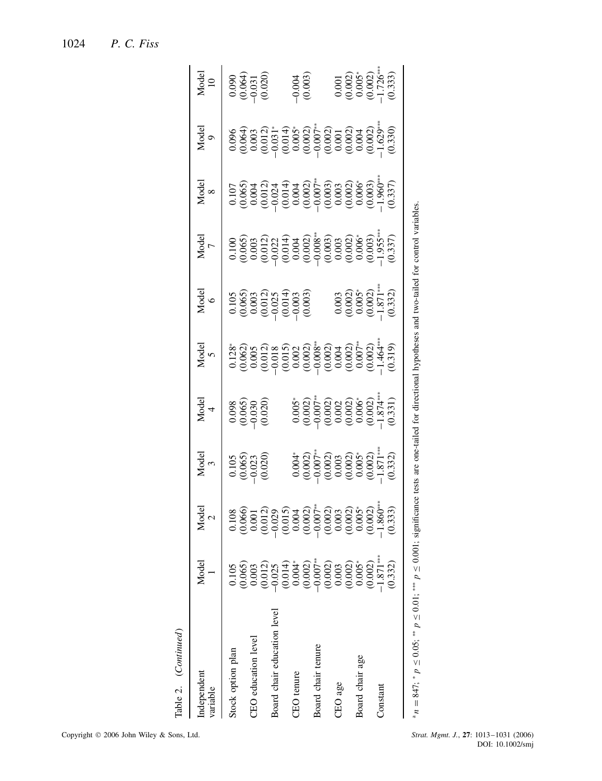| Table 2. (Continued)                                             |                                                                           |                |                                                                                                                                                           |                                                                                                                                 |            |                                                                                              |                                                                                                                                                                                                                                                                       |                                                                                                                                                                                                                                                                                               |                                                                                                                                                                                                                                                                                             |                                                                                                        |
|------------------------------------------------------------------|---------------------------------------------------------------------------|----------------|-----------------------------------------------------------------------------------------------------------------------------------------------------------|---------------------------------------------------------------------------------------------------------------------------------|------------|----------------------------------------------------------------------------------------------|-----------------------------------------------------------------------------------------------------------------------------------------------------------------------------------------------------------------------------------------------------------------------|-----------------------------------------------------------------------------------------------------------------------------------------------------------------------------------------------------------------------------------------------------------------------------------------------|---------------------------------------------------------------------------------------------------------------------------------------------------------------------------------------------------------------------------------------------------------------------------------------------|--------------------------------------------------------------------------------------------------------|
| Independent<br>variable                                          | Model                                                                     | $Mode1$<br>$2$ | Model<br>3                                                                                                                                                | $Model$ 4                                                                                                                       | Model<br>5 | $Mode$<br>$6$                                                                                | Model<br>7                                                                                                                                                                                                                                                            | Model<br>8                                                                                                                                                                                                                                                                                    | Model<br>9                                                                                                                                                                                                                                                                                  | $\frac{10}{10}$                                                                                        |
| Stock option plan                                                | 0.105                                                                     |                | $\begin{array}{c} 0.105\ 0.065) \ 0.023\ 0.020) \end{array}$                                                                                              | $\begin{array}{c} 0.098 \\ 0.065) \\ -0.030 \\ 0.020 \end{array}$                                                               |            |                                                                                              |                                                                                                                                                                                                                                                                       |                                                                                                                                                                                                                                                                                               |                                                                                                                                                                                                                                                                                             | $0.090$<br>$0.064$<br>$0.031$<br>$0.020$                                                               |
| CEO education level                                              | $\begin{array}{c} (0.065) \\ 0.003 \\ (0.012) \\ -0.025 \end{array}$      |                |                                                                                                                                                           |                                                                                                                                 |            |                                                                                              |                                                                                                                                                                                                                                                                       |                                                                                                                                                                                                                                                                                               |                                                                                                                                                                                                                                                                                             |                                                                                                        |
|                                                                  |                                                                           |                |                                                                                                                                                           |                                                                                                                                 |            |                                                                                              |                                                                                                                                                                                                                                                                       |                                                                                                                                                                                                                                                                                               |                                                                                                                                                                                                                                                                                             |                                                                                                        |
| Board chair education level                                      |                                                                           |                |                                                                                                                                                           |                                                                                                                                 |            | $\begin{array}{l} 0.105\\0.065)\\ 0.003\\0.012)\\ 0.012\\0.014\\0.003\\0.003\end{array}$     | $\begin{array}{l} 0.100\\ 0.065)\\ 0.003\\ 0.012)\\ 2.000\\ 0.011)\\ 1.000\\ 0.000\\ 0.000\\ 0.000\\ 0.000\\ 0.000\\ 0.000\\ 0.000\\ 0.000\\ 0.000\\ 0.000\\ 0.000\\ 0.000\\ 0.000\\ 0.000\\ 0.000\\ 0.000\\ 0.000\\ 0.000\\ 0.000\\ 0.000\\ 0.000\\ 0.000\\ 0.000\\$ | $\begin{array}{l} 0.107 \\ 0.066 \\ 0.004 \\ 0.0101 \\ 0.004 \\ 0.004 \\ 0.0004 \\ 0.0000 \\ 0.0000 \\ 0.0000 \\ 0.0000 \\ 0.0000 \\ 0.0000 \\ 0.0000 \\ 0.0000 \\ 0.0000 \\ 0.0000 \\ 0.0000 \\ 0.0000 \\ 0.0000 \\ 0.0000 \\ 0.0000 \\ 0.0000 \\ 0.0000 \\ 0.0000 \\ 0.0000 \\ 0.0000 \\ 0$ | $\begin{array}{l} 0.096 \\ 0.064) \\ 0.0000 \\ 0.0101 \\ 0.0000 \\ 0.0000 \\ 0.0000 \\ 0.0000 \\ 0.0000 \\ 0.0000 \\ 0.0000 \\ 0.0000 \\ 0.0000 \\ 0.0000 \\ 0.0000 \\ 0.0000 \\ 0.0000 \\ 0.0000 \\ 0.0000 \\ 0.0000 \\ 0.0000 \\ 0.0000 \\ 0.0000 \\ 0.0000 \\ 0.0000 \\ 0.0000 \\ 0.000$ |                                                                                                        |
| CEO tenure                                                       | $\begin{array}{c} (0.014) \\ 0.004^* \\ (0.002) \\ (0.007)^* \end{array}$ |                |                                                                                                                                                           |                                                                                                                                 |            |                                                                                              |                                                                                                                                                                                                                                                                       |                                                                                                                                                                                                                                                                                               |                                                                                                                                                                                                                                                                                             |                                                                                                        |
|                                                                  |                                                                           |                |                                                                                                                                                           |                                                                                                                                 |            |                                                                                              |                                                                                                                                                                                                                                                                       |                                                                                                                                                                                                                                                                                               |                                                                                                                                                                                                                                                                                             | $-0.004$<br>$(0.003)$                                                                                  |
| Board chair tenure                                               |                                                                           |                |                                                                                                                                                           |                                                                                                                                 |            |                                                                                              |                                                                                                                                                                                                                                                                       |                                                                                                                                                                                                                                                                                               |                                                                                                                                                                                                                                                                                             |                                                                                                        |
|                                                                  | $\begin{array}{c} (0.002)\\ 0.003 \end{array}$                            |                |                                                                                                                                                           |                                                                                                                                 |            |                                                                                              |                                                                                                                                                                                                                                                                       |                                                                                                                                                                                                                                                                                               |                                                                                                                                                                                                                                                                                             |                                                                                                        |
| CEO age                                                          |                                                                           |                |                                                                                                                                                           |                                                                                                                                 |            |                                                                                              |                                                                                                                                                                                                                                                                       |                                                                                                                                                                                                                                                                                               |                                                                                                                                                                                                                                                                                             |                                                                                                        |
|                                                                  | $(0.002)$<br>$0.005*$                                                     |                |                                                                                                                                                           |                                                                                                                                 |            |                                                                                              |                                                                                                                                                                                                                                                                       |                                                                                                                                                                                                                                                                                               |                                                                                                                                                                                                                                                                                             |                                                                                                        |
| Board chair age                                                  |                                                                           |                |                                                                                                                                                           |                                                                                                                                 |            |                                                                                              |                                                                                                                                                                                                                                                                       |                                                                                                                                                                                                                                                                                               |                                                                                                                                                                                                                                                                                             |                                                                                                        |
|                                                                  | (0.002)                                                                   |                |                                                                                                                                                           |                                                                                                                                 |            |                                                                                              |                                                                                                                                                                                                                                                                       |                                                                                                                                                                                                                                                                                               |                                                                                                                                                                                                                                                                                             |                                                                                                        |
| Constant                                                         | $-1.871***$                                                               |                |                                                                                                                                                           |                                                                                                                                 |            |                                                                                              |                                                                                                                                                                                                                                                                       |                                                                                                                                                                                                                                                                                               |                                                                                                                                                                                                                                                                                             |                                                                                                        |
|                                                                  | (0.332)                                                                   |                | $\begin{array}{l} 0.004^{*} \\ (0.0002) \\ (0.007^{*}) \\ (0.003) \\ (0.003) \\ (0.0002) \\ (0.0003) \\ (0.003) \\ (-1.871^{*} \\ (0.332) \\ \end{array}$ | $0.005$<br>$0.0002$<br>$0.0002$<br>$0.0000$<br>$0.0000$<br>$0.0000$<br>$0.0000$<br>$0.0000$<br>$0.0000$<br>$0.0000$<br>$0.0000$ |            | $\begin{array}{c} 0.003 \\ 0.002) \\ 0.005 \\ 0.003 \\ 0.001 \\ -1.871 \\ 0.332 \end{array}$ |                                                                                                                                                                                                                                                                       |                                                                                                                                                                                                                                                                                               |                                                                                                                                                                                                                                                                                             | $\begin{array}{l} 0.001 \\ (0.002) \\ 0.005^* \\ (0.002) \\ (0.002) \\ 1.726^* \\ (0.333) \end{array}$ |
| $n = 847$ ; * $p \le 0.05$ ; ** $p \le 0.01$ ; *** $p \le 0.001$ |                                                                           |                |                                                                                                                                                           |                                                                                                                                 |            |                                                                                              | significance tests are one-tailed for directional hypotheses and two-tailed for control variables                                                                                                                                                                     |                                                                                                                                                                                                                                                                                               |                                                                                                                                                                                                                                                                                             |                                                                                                        |

1024 *P. C. Fiss*

Copyright  $\oslash$  2006 John Wiley & Sons, Ltd.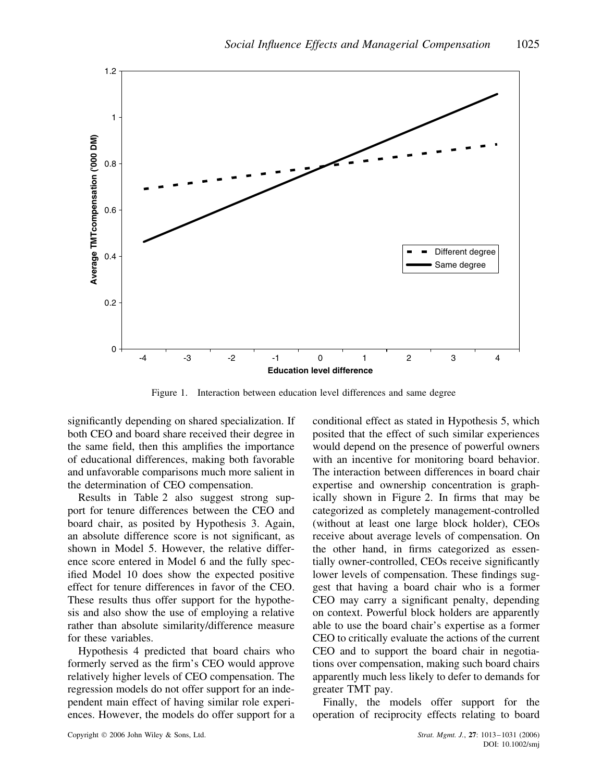

Figure 1. Interaction between education level differences and same degree

significantly depending on shared specialization. If both CEO and board share received their degree in the same field, then this amplifies the importance of educational differences, making both favorable and unfavorable comparisons much more salient in the determination of CEO compensation.

Results in Table 2 also suggest strong support for tenure differences between the CEO and board chair, as posited by Hypothesis 3. Again, an absolute difference score is not significant, as shown in Model 5. However, the relative difference score entered in Model 6 and the fully specified Model 10 does show the expected positive effect for tenure differences in favor of the CEO. These results thus offer support for the hypothesis and also show the use of employing a relative rather than absolute similarity/difference measure for these variables.

Hypothesis 4 predicted that board chairs who formerly served as the firm's CEO would approve relatively higher levels of CEO compensation. The regression models do not offer support for an independent main effect of having similar role experiences. However, the models do offer support for a

conditional effect as stated in Hypothesis 5, which posited that the effect of such similar experiences would depend on the presence of powerful owners with an incentive for monitoring board behavior. The interaction between differences in board chair expertise and ownership concentration is graphically shown in Figure 2. In firms that may be categorized as completely management-controlled (without at least one large block holder), CEOs receive about average levels of compensation. On the other hand, in firms categorized as essentially owner-controlled, CEOs receive significantly lower levels of compensation. These findings suggest that having a board chair who is a former CEO may carry a significant penalty, depending on context. Powerful block holders are apparently able to use the board chair's expertise as a former CEO to critically evaluate the actions of the current CEO and to support the board chair in negotiations over compensation, making such board chairs apparently much less likely to defer to demands for greater TMT pay.

Finally, the models offer support for the operation of reciprocity effects relating to board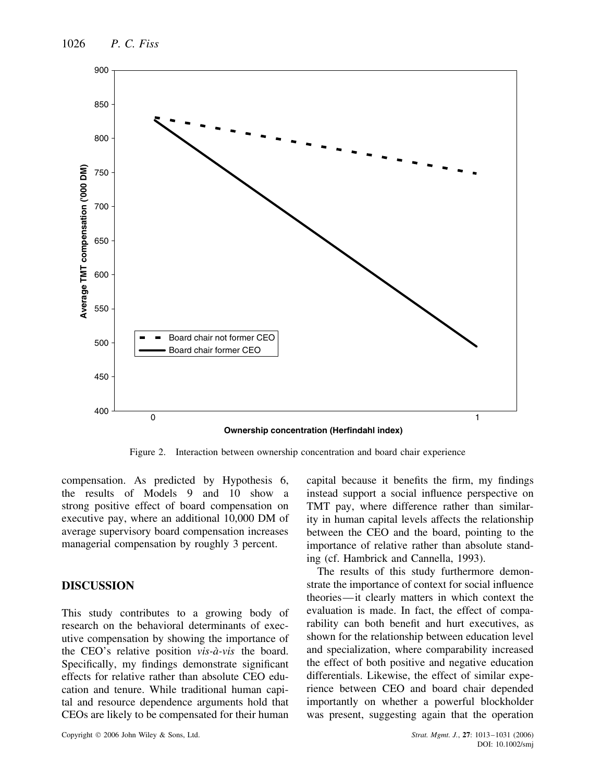

Figure 2. Interaction between ownership concentration and board chair experience

compensation. As predicted by Hypothesis 6, the results of Models 9 and 10 show a strong positive effect of board compensation on executive pay, where an additional 10,000 DM of average supervisory board compensation increases managerial compensation by roughly 3 percent.

# **DISCUSSION**

This study contributes to a growing body of research on the behavioral determinants of executive compensation by showing the importance of the CEO's relative position *vis-à-vis* the board. Specifically, my findings demonstrate significant effects for relative rather than absolute CEO education and tenure. While traditional human capital and resource dependence arguments hold that CEOs are likely to be compensated for their human capital because it benefits the firm, my findings instead support a social influence perspective on TMT pay, where difference rather than similarity in human capital levels affects the relationship between the CEO and the board, pointing to the importance of relative rather than absolute standing (cf. Hambrick and Cannella, 1993).

The results of this study furthermore demonstrate the importance of context for social influence theories—it clearly matters in which context the evaluation is made. In fact, the effect of comparability can both benefit and hurt executives, as shown for the relationship between education level and specialization, where comparability increased the effect of both positive and negative education differentials. Likewise, the effect of similar experience between CEO and board chair depended importantly on whether a powerful blockholder was present, suggesting again that the operation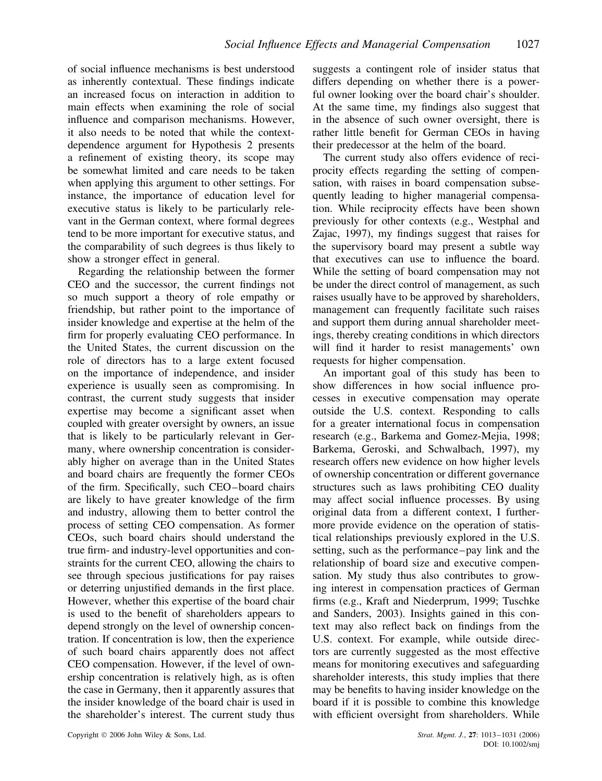of social influence mechanisms is best understood as inherently contextual. These findings indicate an increased focus on interaction in addition to main effects when examining the role of social influence and comparison mechanisms. However, it also needs to be noted that while the contextdependence argument for Hypothesis 2 presents a refinement of existing theory, its scope may be somewhat limited and care needs to be taken when applying this argument to other settings. For instance, the importance of education level for executive status is likely to be particularly relevant in the German context, where formal degrees tend to be more important for executive status, and the comparability of such degrees is thus likely to show a stronger effect in general.

Regarding the relationship between the former CEO and the successor, the current findings not so much support a theory of role empathy or friendship, but rather point to the importance of insider knowledge and expertise at the helm of the firm for properly evaluating CEO performance. In the United States, the current discussion on the role of directors has to a large extent focused on the importance of independence, and insider experience is usually seen as compromising. In contrast, the current study suggests that insider expertise may become a significant asset when coupled with greater oversight by owners, an issue that is likely to be particularly relevant in Germany, where ownership concentration is considerably higher on average than in the United States and board chairs are frequently the former CEOs of the firm. Specifically, such CEO–board chairs are likely to have greater knowledge of the firm and industry, allowing them to better control the process of setting CEO compensation. As former CEOs, such board chairs should understand the true firm- and industry-level opportunities and constraints for the current CEO, allowing the chairs to see through specious justifications for pay raises or deterring unjustified demands in the first place. However, whether this expertise of the board chair is used to the benefit of shareholders appears to depend strongly on the level of ownership concentration. If concentration is low, then the experience of such board chairs apparently does not affect CEO compensation. However, if the level of ownership concentration is relatively high, as is often the case in Germany, then it apparently assures that the insider knowledge of the board chair is used in the shareholder's interest. The current study thus

suggests a contingent role of insider status that differs depending on whether there is a powerful owner looking over the board chair's shoulder. At the same time, my findings also suggest that in the absence of such owner oversight, there is rather little benefit for German CEOs in having their predecessor at the helm of the board.

The current study also offers evidence of reciprocity effects regarding the setting of compensation, with raises in board compensation subsequently leading to higher managerial compensation. While reciprocity effects have been shown previously for other contexts (e.g., Westphal and Zajac, 1997), my findings suggest that raises for the supervisory board may present a subtle way that executives can use to influence the board. While the setting of board compensation may not be under the direct control of management, as such raises usually have to be approved by shareholders, management can frequently facilitate such raises and support them during annual shareholder meetings, thereby creating conditions in which directors will find it harder to resist managements' own requests for higher compensation.

An important goal of this study has been to show differences in how social influence processes in executive compensation may operate outside the U.S. context. Responding to calls for a greater international focus in compensation research (e.g., Barkema and Gomez-Mejia, 1998; Barkema, Geroski, and Schwalbach, 1997), my research offers new evidence on how higher levels of ownership concentration or different governance structures such as laws prohibiting CEO duality may affect social influence processes. By using original data from a different context, I furthermore provide evidence on the operation of statistical relationships previously explored in the U.S. setting, such as the performance–pay link and the relationship of board size and executive compensation. My study thus also contributes to growing interest in compensation practices of German firms (e.g., Kraft and Niederprum, 1999; Tuschke and Sanders, 2003). Insights gained in this context may also reflect back on findings from the U.S. context. For example, while outside directors are currently suggested as the most effective means for monitoring executives and safeguarding shareholder interests, this study implies that there may be benefits to having insider knowledge on the board if it is possible to combine this knowledge with efficient oversight from shareholders. While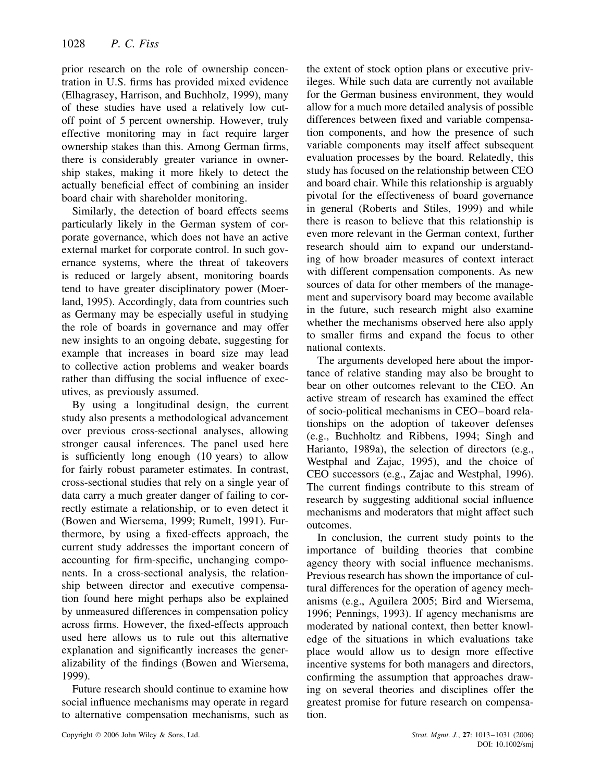prior research on the role of ownership concentration in U.S. firms has provided mixed evidence (Elhagrasey, Harrison, and Buchholz, 1999), many of these studies have used a relatively low cutoff point of 5 percent ownership. However, truly effective monitoring may in fact require larger ownership stakes than this. Among German firms, there is considerably greater variance in ownership stakes, making it more likely to detect the actually beneficial effect of combining an insider board chair with shareholder monitoring.

Similarly, the detection of board effects seems particularly likely in the German system of corporate governance, which does not have an active external market for corporate control. In such governance systems, where the threat of takeovers is reduced or largely absent, monitoring boards tend to have greater disciplinatory power (Moerland, 1995). Accordingly, data from countries such as Germany may be especially useful in studying the role of boards in governance and may offer new insights to an ongoing debate, suggesting for example that increases in board size may lead to collective action problems and weaker boards rather than diffusing the social influence of executives, as previously assumed.

By using a longitudinal design, the current study also presents a methodological advancement over previous cross-sectional analyses, allowing stronger causal inferences. The panel used here is sufficiently long enough (10 years) to allow for fairly robust parameter estimates. In contrast, cross-sectional studies that rely on a single year of data carry a much greater danger of failing to correctly estimate a relationship, or to even detect it (Bowen and Wiersema, 1999; Rumelt, 1991). Furthermore, by using a fixed-effects approach, the current study addresses the important concern of accounting for firm-specific, unchanging components. In a cross-sectional analysis, the relationship between director and executive compensation found here might perhaps also be explained by unmeasured differences in compensation policy across firms. However, the fixed-effects approach used here allows us to rule out this alternative explanation and significantly increases the generalizability of the findings (Bowen and Wiersema, 1999).

Future research should continue to examine how social influence mechanisms may operate in regard to alternative compensation mechanisms, such as the extent of stock option plans or executive privileges. While such data are currently not available for the German business environment, they would allow for a much more detailed analysis of possible differences between fixed and variable compensation components, and how the presence of such variable components may itself affect subsequent evaluation processes by the board. Relatedly, this study has focused on the relationship between CEO and board chair. While this relationship is arguably pivotal for the effectiveness of board governance in general (Roberts and Stiles, 1999) and while there is reason to believe that this relationship is even more relevant in the German context, further research should aim to expand our understanding of how broader measures of context interact with different compensation components. As new sources of data for other members of the management and supervisory board may become available in the future, such research might also examine whether the mechanisms observed here also apply to smaller firms and expand the focus to other national contexts.

The arguments developed here about the importance of relative standing may also be brought to bear on other outcomes relevant to the CEO. An active stream of research has examined the effect of socio-political mechanisms in CEO–board relationships on the adoption of takeover defenses (e.g., Buchholtz and Ribbens, 1994; Singh and Harianto, 1989a), the selection of directors (e.g., Westphal and Zajac, 1995), and the choice of CEO successors (e.g., Zajac and Westphal, 1996). The current findings contribute to this stream of research by suggesting additional social influence mechanisms and moderators that might affect such outcomes.

In conclusion, the current study points to the importance of building theories that combine agency theory with social influence mechanisms. Previous research has shown the importance of cultural differences for the operation of agency mechanisms (e.g., Aguilera 2005; Bird and Wiersema, 1996; Pennings, 1993). If agency mechanisms are moderated by national context, then better knowledge of the situations in which evaluations take place would allow us to design more effective incentive systems for both managers and directors, confirming the assumption that approaches drawing on several theories and disciplines offer the greatest promise for future research on compensation.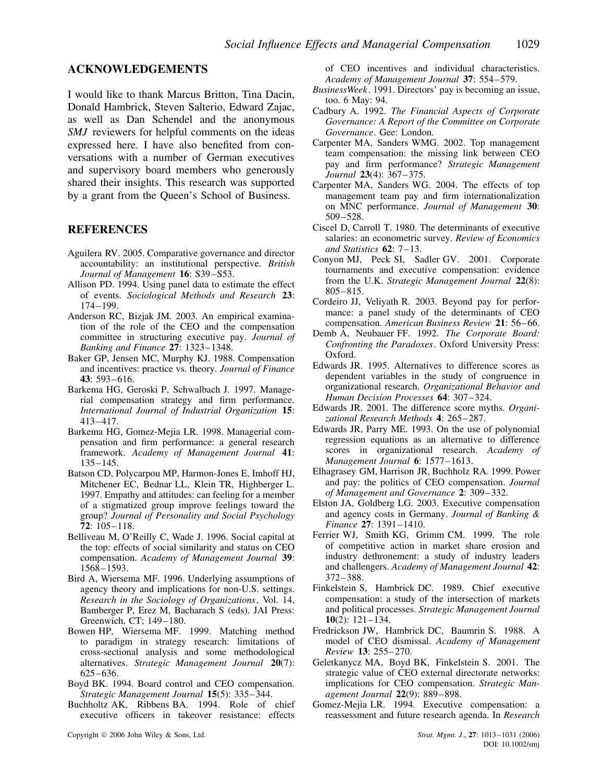#### **ACKNOWLEDGEMENTS**

I would like to thank Marcus Britton, Tina Dacin, Donald Hambrick, Steven Salterio, Edward Zajac, as well as Dan Schendel and the anonymous *SMJ* reviewers for helpful comments on the ideas expressed here. I have also benefited from conversations with a number of German executives and supervisory board members who generously shared their insights. This research was supported by a grant from the Queen's School of Business.

#### **REFERENCES**

- Aguilera RV. 2005. Comparative governance and director accountability: an institutional perspective. *British Journal of Management* **16**: S39–S53.
- Allison PD. 1994. Using panel data to estimate the effect of events. *Sociological Methods and Research* **23**: 174–199.
- Anderson RC, Bizjak JM. 2003. An empirical examination of the role of the CEO and the compensation committee in structuring executive pay. *Journal of Banking and Finance* **27**: 1323–1348.
- Baker GP, Jensen MC, Murphy KJ. 1988. Compensation and incentives: practice vs. theory. *Journal of Finance* **43**: 593–616.
- Barkema HG, Geroski P, Schwalbach J. 1997. Managerial compensation strategy and firm performance. *International Journal of Industrial Organization* **15**: 413–417.
- Barkema HG, Gomez-Mejia LR. 1998. Managerial compensation and firm performance: a general research framework. *Academy of Management Journal* **41**: 135–145.
- Batson CD, Polycarpou MP, Harmon-Jones E, Imhoff HJ, Mitchener EC, Bednar LL, Klein TR, Highberger L. 1997. Empathy and attitudes: can feeling for a member of a stigmatized group improve feelings toward the group? *Journal of Personality and Social Psychology* **72**: 105–118.
- Belliveau M, O'Reilly C, Wade J. 1996. Social capital at the top: effects of social similarity and status on CEO compensation. *Academy of Management Journal* **39**: 1568–1593.
- Bird A, Wiersema MF. 1996. Underlying assumptions of agency theory and implications for non-U.S. settings. *Research in the Sociology of Organizations*, Vol. 14, Bamberger P, Erez M, Bacharach S (eds). JAI Press: Greenwich, CT; 149–180.
- Bowen HP, Wiersema MF. 1999. Matching method to paradigm in strategy research: limitations of cross-sectional analysis and some methodological alternatives. *Strategic Management Journal* **20**(7): 625–636.
- Boyd BK. 1994. Board control and CEO compensation. *Strategic Management Journal* **15**(5): 335–344.
- Buchholtz AK, Ribbens BA. 1994. Role of chief executive officers in takeover resistance: effects

of CEO incentives and individual characteristics. *Academy of Management Journal* **37**: 554–579.

- *BusinessWeek*. 1991. Directors' pay is becoming an issue, too. 6 May: 94.
- Cadbury A. 1992. *The Financial Aspects of Corporate Governance: A Report of the Committee on Corporate Governance*. Gee: London.
- Carpenter MA, Sanders WMG. 2002. Top management team compensation: the missing link between CEO pay and firm performance? *Strategic Management Journal* **23**(4): 367–375.
- Carpenter MA, Sanders WG. 2004. The effects of top management team pay and firm internationalization on MNC performance. *Journal of Management* **30**: 509–528.
- Ciscel D, Carroll T. 1980. The determinants of executive salaries: an econometric survey. *Review of Economics and Statistics* **62**: 7–13.
- Conyon MJ, Peck SI, Sadler GV. 2001. Corporate tournaments and executive compensation: evidence from the U.K. *Strategic Management Journal* **22**(8): 805–815.
- Cordeiro JJ, Veliyath R. 2003. Beyond pay for performance: a panel study of the determinants of CEO compensation. *American Business Review* **21**: 56–66.
- Demb A, Neubauer FF. 1992. *The Corporate Board: Confronting the Paradoxes*. Oxford University Press: Oxford.
- Edwards JR. 1995. Alternatives to difference scores as dependent variables in the study of congruence in organizational research. *Organizational Behavior and Human Decision Processes* **64**: 307–324.
- Edwards JR. 2001. The difference score myths. *Organizational Research Methods* **4**: 265–287.
- Edwards JR, Parry ME. 1993. On the use of polynomial regression equations as an alternative to difference scores in organizational research. *Academy of Management Journal* **6**: 1577–1613.
- Elhagrasey GM, Harrison JR, Buchholz RA. 1999. Power and pay: the politics of CEO compensation. *Journal of Management and Governance* **2**: 309–332.
- Elston JA, Goldberg LG. 2003. Executive compensation and agency costs in Germany. *Journal of Banking & Finance* **27**: 1391–1410.
- Ferrier WJ, Smith KG, Grimm CM. 1999. The role of competitive action in market share erosion and industry dethronement: a study of industry leaders and challengers. *Academy of Management Journal* **42**: 372–388.
- Finkelstein S, Hambrick DC. 1989. Chief executive compensation: a study of the intersection of markets and political processes. *Strategic Management Journal* **10**(2): 121–134.
- Fredrickson JW, Hambrick DC, Baumrin S. 1988. A model of CEO dismissal. *Academy of Management Review* **13**: 255–270.
- Geletkanycz MA, Boyd BK, Finkelstein S. 2001. The strategic value of CEO external directorate networks: implications for CEO compensation. *Strategic Management Journal* **22**(9): 889–898.
- Gomez-Mejia LR. 1994. Executive compensation: a reassessment and future research agenda. In *Research*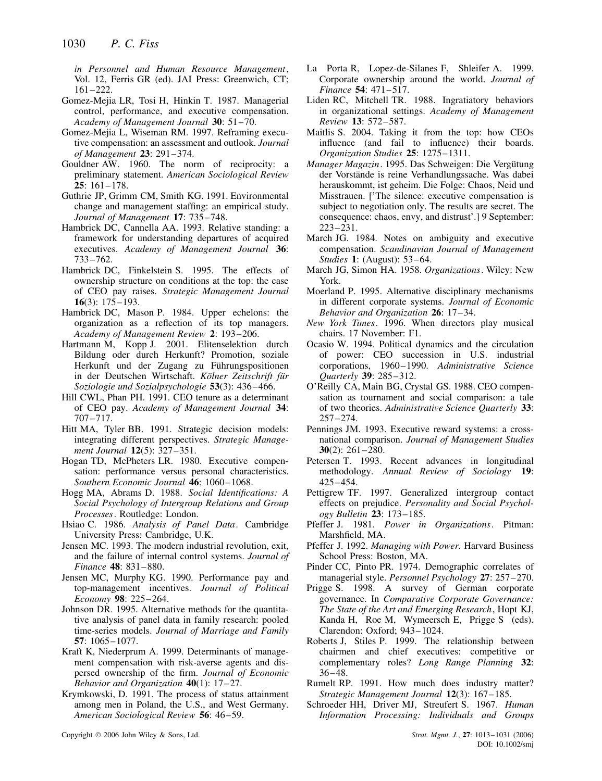*in Personnel and Human Resource Management*, Vol. 12, Ferris GR (ed). JAI Press: Greenwich, CT; 161–222.

- Gomez-Mejia LR, Tosi H, Hinkin T. 1987. Managerial control, performance, and executive compensation. *Academy of Management Journal* **30**: 51–70.
- Gomez-Mejia L, Wiseman RM. 1997. Reframing executive compensation: an assessment and outlook. *Journal of Management* **23**: 291–374.
- Gouldner AW. 1960. The norm of reciprocity: a preliminary statement. *American Sociological Review* **25**: 161–178.
- Guthrie JP, Grimm CM, Smith KG. 1991. Environmental change and management staffing: an empirical study. *Journal of Management* **17**: 735–748.
- Hambrick DC, Cannella AA. 1993. Relative standing: a framework for understanding departures of acquired executives. *Academy of Management Journal* **36**: 733–762.
- Hambrick DC, Finkelstein S. 1995. The effects of ownership structure on conditions at the top: the case of CEO pay raises. *Strategic Management Journal* **16**(3): 175–193.
- Hambrick DC, Mason P. 1984. Upper echelons: the organization as a reflection of its top managers. *Academy of Management Review* **2**: 193–206.
- Hartmann M, Kopp J. 2001. Elitenselektion durch Bildung oder durch Herkunft? Promotion, soziale Herkunft und der Zugang zu Führungspositionen in der Deutschen Wirtschaft. Kölner Zeitschrift für *Soziologie und Sozialpsychologie* **53**(3): 436–466.
- Hill CWL, Phan PH. 1991. CEO tenure as a determinant of CEO pay. *Academy of Management Journal* **34**: 707–717.
- Hitt MA, Tyler BB. 1991. Strategic decision models: integrating different perspectives. *Strategic Management Journal* **12**(5): 327–351.
- Hogan TD, McPheters LR. 1980. Executive compensation: performance versus personal characteristics. *Southern Economic Journal* **46**: 1060–1068.
- Hogg MA, Abrams D. 1988. *Social Identifications: A Social Psychology of Intergroup Relations and Group Processes*. Routledge: London.
- Hsiao C. 1986. *Analysis of Panel Data*. Cambridge University Press: Cambridge, U.K.
- Jensen MC. 1993. The modern industrial revolution, exit, and the failure of internal control systems. *Journal of Finance* **48**: 831–880.
- Jensen MC, Murphy KG. 1990. Performance pay and top-management incentives. *Journal of Political Economy* **98**: 225–264.
- Johnson DR. 1995. Alternative methods for the quantitative analysis of panel data in family research: pooled time-series models. *Journal of Marriage and Family* **57**: 1065–1077.
- Kraft K, Niederprum A. 1999. Determinants of management compensation with risk-averse agents and dispersed ownership of the firm. *Journal of Economic Behavior and Organization* **40**(1): 17–27.
- Krymkowski, D. 1991. The process of status attainment among men in Poland, the U.S., and West Germany. *American Sociological Review* **56**: 46–59.
- La Porta R, Lopez-de-Silanes F, Shleifer A. 1999. Corporate ownership around the world. *Journal of Finance* **54**: 471–517.
- Liden RC, Mitchell TR. 1988. Ingratiatory behaviors in organizational settings. *Academy of Management Review* **13**: 572–587.
- Maitlis S. 2004. Taking it from the top: how CEOs influence (and fail to influence) their boards. *Organization Studies* **25**: 1275–1311.
- *Manager Magazin*. 1995. Das Schweigen: Die Vergutung ¨ der Vorstände is reine Verhandlungssache. Was dabei herauskommt, ist geheim. Die Folge: Chaos, Neid und Misstrauen. ['The silence: executive compensation is subject to negotiation only. The results are secret. The consequence: chaos, envy, and distrust'.] 9 September: 223–231.
- March JG. 1984. Notes on ambiguity and executive compensation. *Scandinavian Journal of Management Studies* **1**: (August): 53–64.
- March JG, Simon HA. 1958. *Organizations*. Wiley: New York.
- Moerland P. 1995. Alternative disciplinary mechanisms in different corporate systems. *Journal of Economic Behavior and Organization* **26**: 17–34.
- *New York Times*. 1996. When directors play musical chairs. 17 November: F1.
- Ocasio W. 1994. Political dynamics and the circulation of power: CEO succession in U.S. industrial corporations, 1960–1990. *Administrative Science Quarterly* **39**: 285–312.
- O'Reilly CA, Main BG, Crystal GS. 1988. CEO compensation as tournament and social comparison: a tale of two theories. *Administrative Science Quarterly* **33**: 257–274.
- Pennings JM. 1993. Executive reward systems: a crossnational comparison. *Journal of Management Studies* **30**(2): 261–280.
- Petersen T. 1993. Recent advances in longitudinal methodology. *Annual Review of Sociology* **19**: 425–454.
- Pettigrew TF. 1997. Generalized intergroup contact effects on prejudice. *Personality and Social Psychology Bulletin* **23**: 173–185.
- Pfeffer J. 1981. *Power in Organizations*. Pitman: Marshfield, MA.
- Pfeffer J. 1992. *Managing with Power.* Harvard Business School Press: Boston, MA.
- Pinder CC, Pinto PR. 1974. Demographic correlates of managerial style. *Personnel Psychology* **27**: 257–270.
- Prigge S. 1998. A survey of German corporate governance. In *Comparative Corporate Governance: The State of the Art and Emerging Research*, Hopt KJ, Kanda H, Roe M, Wymeersch E, Prigge S (eds). Clarendon: Oxford; 943–1024.
- Roberts J, Stiles P. 1999. The relationship between chairmen and chief executives: competitive or complementary roles? *Long Range Planning* **32**: 36–48.
- Rumelt RP. 1991. How much does industry matter? *Strategic Management Journal* **12**(3): 167–185.
- Schroeder HH, Driver MJ, Streufert S. 1967. *Human Information Processing: Individuals and Groups*